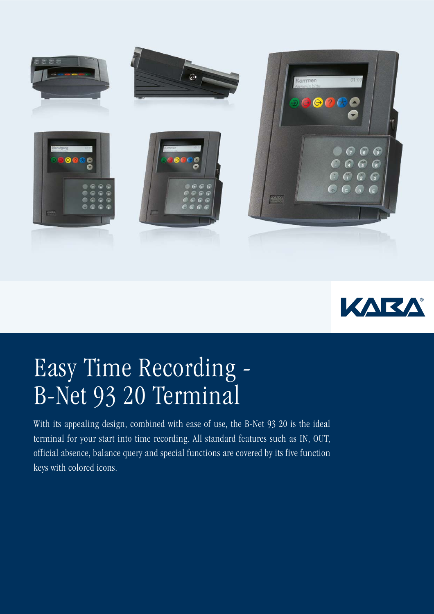



## Easy Time Recording - B-Net 93 20 Terminal

With its appealing design, combined with ease of use, the B-Net 93 20 is the ideal terminal for your start into time recording. All standard features such as IN, OUT, official absence, balance query and special functions are covered by its five function keys with colored icons.